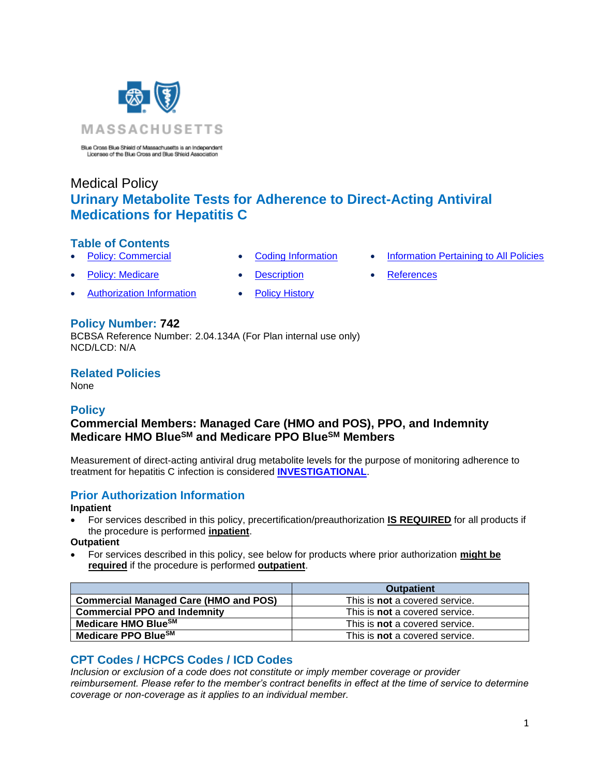

Blue Cross Blue Shield of Massachusetts is an Independent<br>Licensee of the Blue Cross and Blue Shield Association

# Medical Policy **Urinary Metabolite Tests for Adherence to Direct-Acting Antiviral Medications for Hepatitis C**

### **Table of Contents**

- 
- [Policy: Medicare](#page-0-0) • [Description](#page-1-0) [References](#page-2-1)
- [Authorization Information](#page-0-2) [Policy History](#page-2-2)
- 
- 
- **[Policy: Commercial](#page-0-0) [Coding Information](#page-0-1) [Information Pertaining to All Policies](#page-2-0)** 
	-

### **Policy Number: 742**

BCBSA Reference Number: 2.04.134A (For Plan internal use only) NCD/LCD: N/A

**Related Policies** 

<span id="page-0-0"></span>None

### **Policy**

## **Commercial Members: Managed Care (HMO and POS), PPO, and Indemnity Medicare HMO BlueSM and Medicare PPO BlueSM Members**

Measurement of direct-acting antiviral drug metabolite levels for the purpose of monitoring adherence to treatment for hepatitis C infection is considered **[INVESTIGATIONAL](https://www.bluecrossma.org/medical-policies/sites/g/files/csphws2091/files/acquiadam-assets/Definition%20of%20Med%20Nec%20Inv%20Not%20Med%20Nec%20prn.pdf#page=1)**.

### <span id="page-0-2"></span>**Prior Authorization Information**

### **Inpatient**

• For services described in this policy, precertification/preauthorization **IS REQUIRED** for all products if the procedure is performed **inpatient**.

**Outpatient**

• For services described in this policy, see below for products where prior authorization **might be required** if the procedure is performed **outpatient**.

|                                              | <b>Outpatient</b>                     |
|----------------------------------------------|---------------------------------------|
| <b>Commercial Managed Care (HMO and POS)</b> | This is <b>not</b> a covered service. |
| <b>Commercial PPO and Indemnity</b>          | This is <b>not</b> a covered service. |
| Medicare HMO Blue <sup>SM</sup>              | This is <b>not</b> a covered service. |
| Medicare PPO BlueSM                          | This is <b>not</b> a covered service. |

## <span id="page-0-1"></span>**CPT Codes / HCPCS Codes / ICD Codes**

*Inclusion or exclusion of a code does not constitute or imply member coverage or provider reimbursement. Please refer to the member's contract benefits in effect at the time of service to determine coverage or non-coverage as it applies to an individual member.*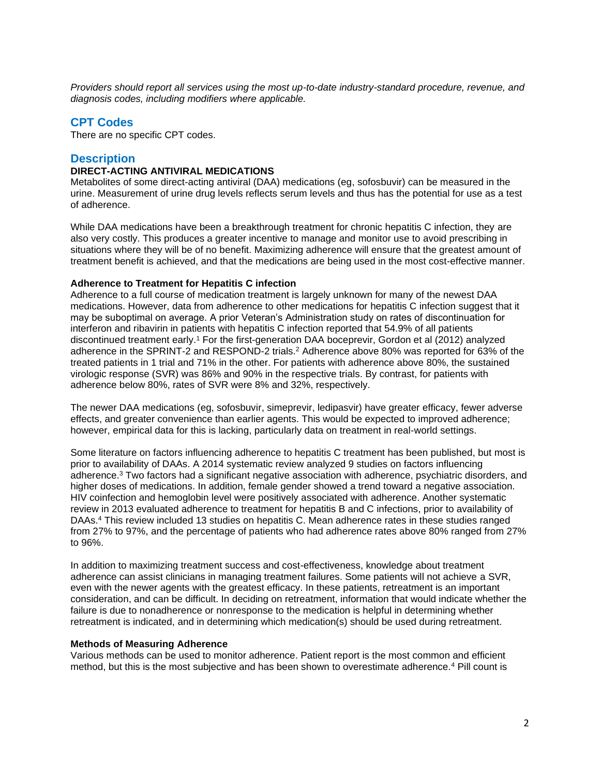*Providers should report all services using the most up-to-date industry-standard procedure, revenue, and diagnosis codes, including modifiers where applicable.*

#### **CPT Codes**

There are no specific CPT codes.

#### <span id="page-1-0"></span>**Description**

#### **DIRECT-ACTING ANTIVIRAL MEDICATIONS**

Metabolites of some direct-acting antiviral (DAA) medications (eg, sofosbuvir) can be measured in the urine. Measurement of urine drug levels reflects serum levels and thus has the potential for use as a test of adherence.

While DAA medications have been a breakthrough treatment for chronic hepatitis C infection, they are also very costly. This produces a greater incentive to manage and monitor use to avoid prescribing in situations where they will be of no benefit. Maximizing adherence will ensure that the greatest amount of treatment benefit is achieved, and that the medications are being used in the most cost-effective manner.

#### **Adherence to Treatment for Hepatitis C infection**

Adherence to a full course of medication treatment is largely unknown for many of the newest DAA medications. However, data from adherence to other medications for hepatitis C infection suggest that it may be suboptimal on average. A prior Veteran's Administration study on rates of discontinuation for interferon and ribavirin in patients with hepatitis C infection reported that 54.9% of all patients discontinued treatment early.<sup>1</sup> For the first-generation DAA boceprevir, Gordon et al (2012) analyzed adherence in the SPRINT-2 and RESPOND-2 trials.<sup>2</sup> Adherence above 80% was reported for 63% of the treated patients in 1 trial and 71% in the other. For patients with adherence above 80%, the sustained virologic response (SVR) was 86% and 90% in the respective trials. By contrast, for patients with adherence below 80%, rates of SVR were 8% and 32%, respectively.

The newer DAA medications (eg, sofosbuvir, simeprevir, ledipasvir) have greater efficacy, fewer adverse effects, and greater convenience than earlier agents. This would be expected to improved adherence; however, empirical data for this is lacking, particularly data on treatment in real-world settings.

Some literature on factors influencing adherence to hepatitis C treatment has been published, but most is prior to availability of DAAs. A 2014 systematic review analyzed 9 studies on factors influencing adherence.<sup>3</sup> Two factors had a significant negative association with adherence, psychiatric disorders, and higher doses of medications. In addition, female gender showed a trend toward a negative association. HIV coinfection and hemoglobin level were positively associated with adherence. Another systematic review in 2013 evaluated adherence to treatment for hepatitis B and C infections, prior to availability of DAAs.<sup>4</sup> This review included 13 studies on hepatitis C. Mean adherence rates in these studies ranged from 27% to 97%, and the percentage of patients who had adherence rates above 80% ranged from 27% to 96%.

In addition to maximizing treatment success and cost-effectiveness, knowledge about treatment adherence can assist clinicians in managing treatment failures. Some patients will not achieve a SVR, even with the newer agents with the greatest efficacy. In these patients, retreatment is an important consideration, and can be difficult. In deciding on retreatment, information that would indicate whether the failure is due to nonadherence or nonresponse to the medication is helpful in determining whether retreatment is indicated, and in determining which medication(s) should be used during retreatment.

#### **Methods of Measuring Adherence**

Various methods can be used to monitor adherence. Patient report is the most common and efficient method, but this is the most subjective and has been shown to overestimate adherence.<sup>4</sup> Pill count is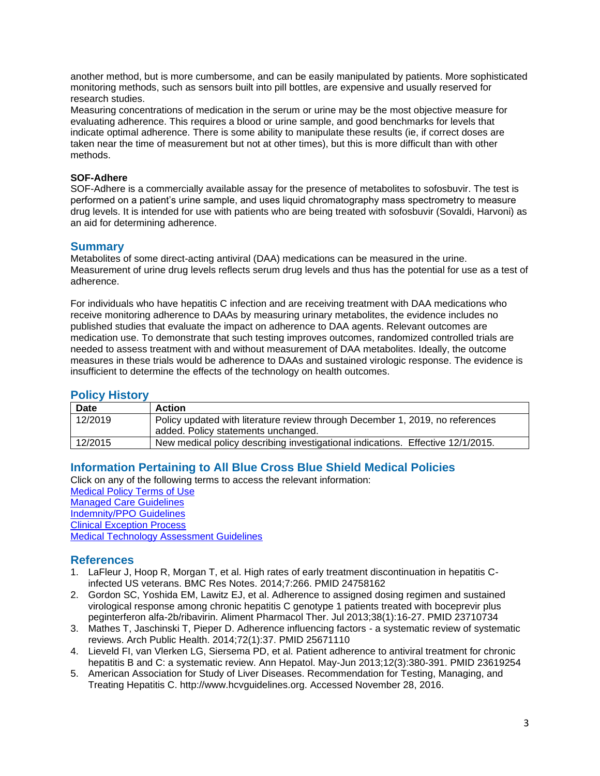another method, but is more cumbersome, and can be easily manipulated by patients. More sophisticated monitoring methods, such as sensors built into pill bottles, are expensive and usually reserved for research studies.

Measuring concentrations of medication in the serum or urine may be the most objective measure for evaluating adherence. This requires a blood or urine sample, and good benchmarks for levels that indicate optimal adherence. There is some ability to manipulate these results (ie, if correct doses are taken near the time of measurement but not at other times), but this is more difficult than with other methods.

### **SOF-Adhere**

SOF-Adhere is a commercially available assay for the presence of metabolites to sofosbuvir. The test is performed on a patient's urine sample, and uses liquid chromatography mass spectrometry to measure drug levels. It is intended for use with patients who are being treated with sofosbuvir (Sovaldi, Harvoni) as an aid for determining adherence.

### **Summary**

Metabolites of some direct-acting antiviral (DAA) medications can be measured in the urine. Measurement of urine drug levels reflects serum drug levels and thus has the potential for use as a test of adherence.

For individuals who have hepatitis C infection and are receiving treatment with DAA medications who receive monitoring adherence to DAAs by measuring urinary metabolites, the evidence includes no published studies that evaluate the impact on adherence to DAA agents. Relevant outcomes are medication use. To demonstrate that such testing improves outcomes, randomized controlled trials are needed to assess treatment with and without measurement of DAA metabolites. Ideally, the outcome measures in these trials would be adherence to DAAs and sustained virologic response. The evidence is insufficient to determine the effects of the technology on health outcomes.

### <span id="page-2-2"></span>**Policy History**

| Date    | <b>Action</b>                                                                   |
|---------|---------------------------------------------------------------------------------|
| 12/2019 | Policy updated with literature review through December 1, 2019, no references   |
|         | added. Policy statements unchanged.                                             |
| 12/2015 | New medical policy describing investigational indications. Effective 12/1/2015. |

### <span id="page-2-0"></span>**Information Pertaining to All Blue Cross Blue Shield Medical Policies**

Click on any of the following terms to access the relevant information: [Medical Policy Terms of Use](http://www.bluecrossma.org/medical-policies/sites/g/files/csphws2091/files/acquiadam-assets/Medical_Policy_Terms_of_Use_prn.pdf) [Managed Care Guidelines](http://www.bluecrossma.org/medical-policies/sites/g/files/csphws2091/files/acquiadam-assets/Managed_Care_Guidelines_prn.pdf) [Indemnity/PPO Guidelines](http://www.bluecrossma.org/medical-policies/sites/g/files/csphws2091/files/acquiadam-assets/Indemnity_and_PPO_Guidelines_prn.pdf) [Clinical Exception Process](http://www.bluecrossma.org/medical-policies/sites/g/files/csphws2091/files/acquiadam-assets/Clinical_Exception_Process_prn.pdf) [Medical Technology Assessment Guidelines](http://www.bluecrossma.org/medical-policies/sites/g/files/csphws2091/files/acquiadam-assets/Medical_Technology_Assessment_Guidelines_prn.pdf)

### <span id="page-2-1"></span>**References**

- 1. LaFleur J, Hoop R, Morgan T, et al. High rates of early treatment discontinuation in hepatitis Cinfected US veterans. BMC Res Notes. 2014;7:266. PMID 24758162
- 2. Gordon SC, Yoshida EM, Lawitz EJ, et al. Adherence to assigned dosing regimen and sustained virological response among chronic hepatitis C genotype 1 patients treated with boceprevir plus peginterferon alfa-2b/ribavirin. Aliment Pharmacol Ther. Jul 2013;38(1):16-27. PMID 23710734
- 3. Mathes T, Jaschinski T, Pieper D. Adherence influencing factors a systematic review of systematic reviews. Arch Public Health. 2014;72(1):37. PMID 25671110
- 4. Lieveld FI, van Vlerken LG, Siersema PD, et al. Patient adherence to antiviral treatment for chronic hepatitis B and C: a systematic review. Ann Hepatol. May-Jun 2013;12(3):380-391. PMID 23619254
- 5. American Association for Study of Liver Diseases. Recommendation for Testing, Managing, and Treating Hepatitis C. http://www.hcvguidelines.org. Accessed November 28, 2016.